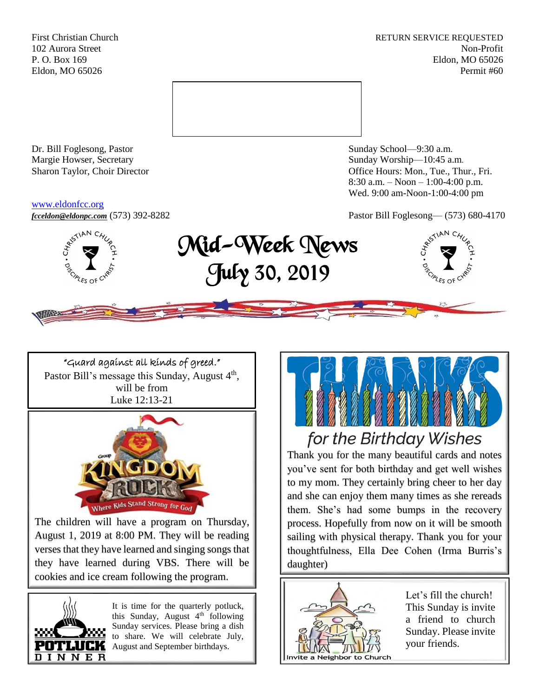First Christian Church **RETURN SERVICE REQUESTED** 102 Aurora Street Non-Profit P. O. Box 169 Eldon, MO 65026 Eldon, MO 65026 Permit #60



Dr. Bill Foglesong, Pastor Sunday School—9:30 a.m. Margie Howser, Secretary Sunday Worship—10:45 a.m.

#### [www.eldonfcc.org](http://www.eldonfcc.org/)

Sharon Taylor, Choir Director **Calcular Control** Control Control Control Control Control Control Control Control Control Control Control Control Control Control Control Control Control Control Control Control Control Contr 8:30 a.m. – Noon – 1:00-4:00 p.m. Wed. 9:00 am-Noon-1:00-4:00 pm



# *[fcceldon@eldonpc.com](mailto:fcceldon@eldonpc.com)* (573) 392-8282 Pastor Bill Foglesong— (573) 680-4170<br>  $\delta_{\mathcal{S}}^{s^{(5^{1)^{kN}}C_{\mathcal{H}_{\mathcal{U}}}}}$  **Mid-Week Wows** Mid-Week News July 30, 2019



"Guard against all kinds of greed." Pastor Bill's message this Sunday, August 4<sup>th</sup>, will be from Luke 12:13-21



The children will have a program on Thursday, August 1, 2019 at 8:00 PM. They will be reading verses that they have learned and singing songs that they have learned during VBS. There will be cookies and ice cream following the program.



It is time for the quarterly potluck, this Sunday, August  $4<sup>th</sup>$  following Sunday services. Please bring a dish to share. We will celebrate July, August and September birthdays.



# for the Birthday Wishes

Thank you for the many beautiful cards and notes you've sent for both birthday and get well wishes to my mom. They certainly bring cheer to her day and she can enjoy them many times as she rereads them. She's had some bumps in the recovery process. Hopefully from now on it will be smooth sailing with physical therapy. Thank you for your thoughtfulness, Ella Dee Cohen (Irma Burris's daughter)



Let's fill the church! This Sunday is invite a friend to church Sunday. Please invite your friends.